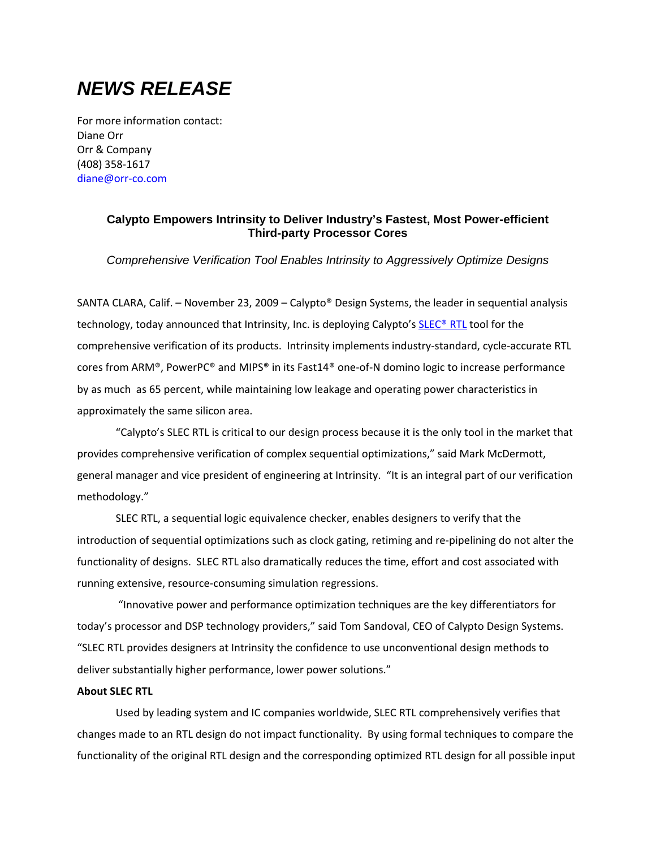# *NEWS RELEASE*

For more information contact: Diane Orr Orr & Company (408) 358‐1617 diane@orr‐co.com

# **Calypto Empowers Intrinsity to Deliver Industry's Fastest, Most Power-efficient Third-party Processor Cores**

*Comprehensive Verification Tool Enables Intrinsity to Aggressively Optimize Designs* 

SANTA CLARA, Calif. – November 23, 2009 – Calypto® Design Systems, the leader in sequential analysis technology, today announced that Intrinsity, Inc. is deploying Calypto's SLEC® RTL tool for the comprehensive verification of its products. Intrinsity implements industry‐standard, cycle‐accurate RTL cores from ARM®, PowerPC® and MIPS® in its Fast14® one‐of‐N domino logic to increase performance by as much as 65 percent, while maintaining low leakage and operating power characteristics in approximately the same silicon area.

"Calypto's SLEC RTL is critical to our design process because it is the only tool in the market that provides comprehensive verification of complex sequential optimizations," said Mark McDermott, general manager and vice president of engineering at Intrinsity. "It is an integral part of our verification methodology."

SLEC RTL, a sequential logic equivalence checker, enables designers to verify that the introduction of sequential optimizations such as clock gating, retiming and re‐pipelining do not alter the functionality of designs. SLEC RTL also dramatically reduces the time, effort and cost associated with running extensive, resource‐consuming simulation regressions.

"Innovative power and performance optimization techniques are the key differentiators for today's processor and DSP technology providers," said Tom Sandoval, CEO of Calypto Design Systems. "SLEC RTL provides designers at Intrinsity the confidence to use unconventional design methods to deliver substantially higher performance, lower power solutions."

#### **About SLEC RTL**

Used by leading system and IC companies worldwide, SLEC RTL comprehensively verifies that changes made to an RTL design do not impact functionality. By using formal techniques to compare the functionality of the original RTL design and the corresponding optimized RTL design for all possible input